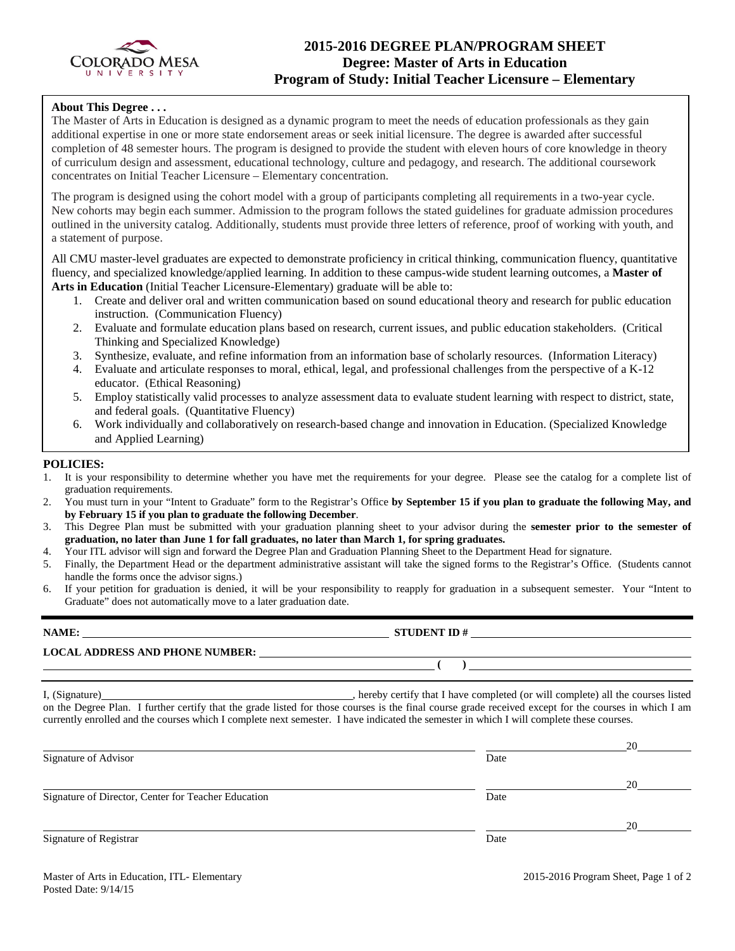

## **2015-2016 DEGREE PLAN/PROGRAM SHEET Degree: Master of Arts in Education Program of Study: Initial Teacher Licensure – Elementary**

### **About This Degree . . .**

The Master of Arts in Education is designed as a dynamic program to meet the needs of education professionals as they gain additional expertise in one or more state endorsement areas or seek initial licensure. The degree is awarded after successful completion of 48 semester hours. The program is designed to provide the student with eleven hours of core knowledge in theory of curriculum design and assessment, educational technology, culture and pedagogy, and research. The additional coursework concentrates on Initial Teacher Licensure – Elementary concentration.

The program is designed using the cohort model with a group of participants completing all requirements in a two-year cycle. New cohorts may begin each summer. Admission to the program follows the stated guidelines for graduate admission procedures outlined in the university catalog. Additionally, students must provide three letters of reference, proof of working with youth, and a statement of purpose.

All CMU master-level graduates are expected to demonstrate proficiency in critical thinking, communication fluency, quantitative fluency, and specialized knowledge/applied learning. In addition to these campus-wide student learning outcomes, a **Master of Arts in Education** (Initial Teacher Licensure-Elementary) graduate will be able to:

- 1. Create and deliver oral and written communication based on sound educational theory and research for public education instruction. (Communication Fluency)
- 2. Evaluate and formulate education plans based on research, current issues, and public education stakeholders. (Critical Thinking and Specialized Knowledge)
- 3. Synthesize, evaluate, and refine information from an information base of scholarly resources. (Information Literacy)
- 4. Evaluate and articulate responses to moral, ethical, legal, and professional challenges from the perspective of a K-12 educator. (Ethical Reasoning)
- 5. Employ statistically valid processes to analyze assessment data to evaluate student learning with respect to district, state, and federal goals. (Quantitative Fluency)
- 6. Work individually and collaboratively on research-based change and innovation in Education. (Specialized Knowledge and Applied Learning)

### **POLICIES:**

- 1. It is your responsibility to determine whether you have met the requirements for your degree. Please see the catalog for a complete list of graduation requirements.
- 2. You must turn in your "Intent to Graduate" form to the Registrar's Office **by September 15 if you plan to graduate the following May, and by February 15 if you plan to graduate the following December**.
- 3. This Degree Plan must be submitted with your graduation planning sheet to your advisor during the **semester prior to the semester of graduation, no later than June 1 for fall graduates, no later than March 1, for spring graduates.**
- 4. Your ITL advisor will sign and forward the Degree Plan and Graduation Planning Sheet to the Department Head for signature.
- 5. Finally, the Department Head or the department administrative assistant will take the signed forms to the Registrar's Office. (Students cannot handle the forms once the advisor signs.)
- 6. If your petition for graduation is denied, it will be your responsibility to reapply for graduation in a subsequent semester. Your "Intent to Graduate" does not automatically move to a later graduation date.

| NAME:                                  | <b>STUDENT ID#</b> |
|----------------------------------------|--------------------|
| <b>LOCAL ADDRESS AND PHONE NUMBER:</b> |                    |
|                                        |                    |

I, (Signature) , hereby certify that I have completed (or will complete) all the courses listed on the Degree Plan. I further certify that the grade listed for those courses is the final course grade received except for the courses in which I am currently enrolled and the courses which I complete next semester. I have indicated the semester in which I will complete these courses.

|                                                     |      | 20 |
|-----------------------------------------------------|------|----|
| Signature of Advisor                                | Date |    |
|                                                     |      | 20 |
| Signature of Director, Center for Teacher Education | Date |    |
|                                                     |      | 20 |
| Signature of Registrar                              | Date |    |